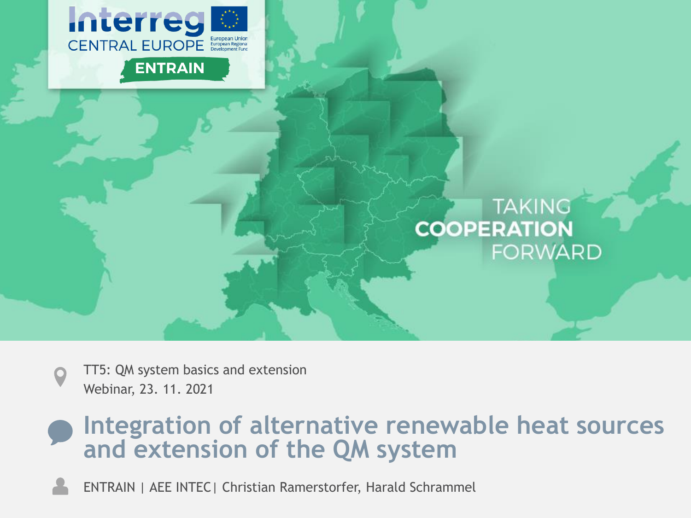

#### **TAKING COOPERATION FORWARD**

TT5: QM system basics and extension Webinar, 23. 11. 2021

#### **Integration of alternative renewable heat sources and extension of the QM system**

ENTRAIN | AEE INTEC| Christian Ramerstorfer, Harald Schrammel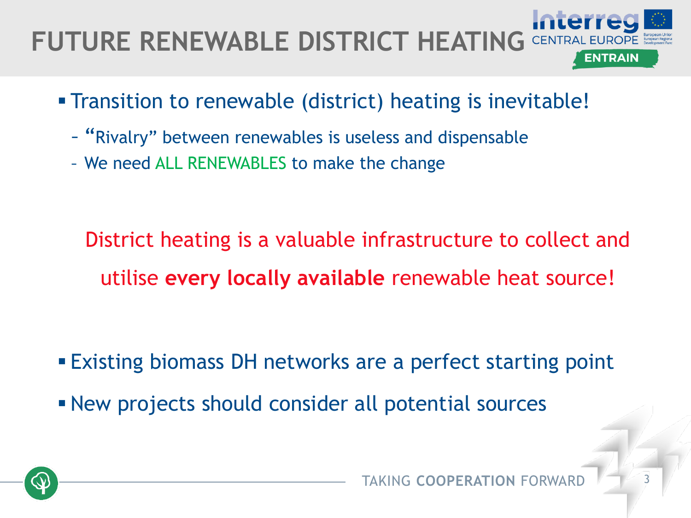# **FUTURE RENEWABLE DISTRICT HEATING**

- Transition to renewable (district) heating is inevitable!
	- "Rivalry" between renewables is useless and dispensable
	- We need ALL RENEWABLES to make the change

District heating is a valuable infrastructure to collect and utilise **every locally available** renewable heat source!

- **Existing biomass DH networks are a perfect starting point**
- **EXECT:** New projects should consider all potential sources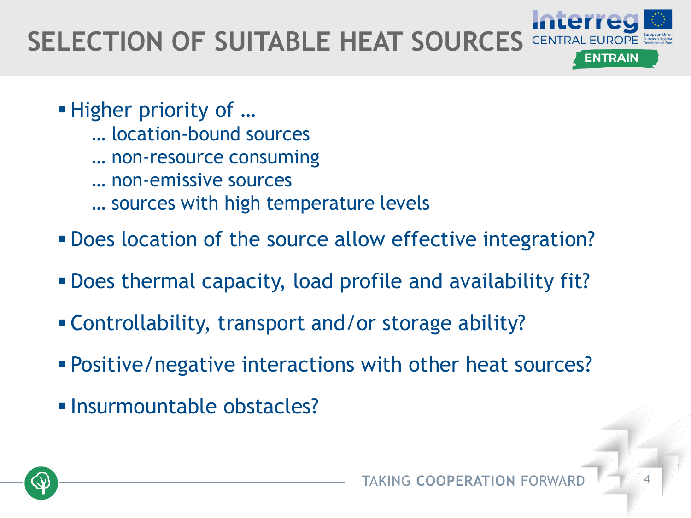#### **SELECTION OF SUITABLE HEAT SOURCES** CENTRAL ENTRAIN

- Higher priority of ...
	- … location-bound sources
	- … non-resource consuming
	- … non-emissive sources
	- … sources with high temperature levels
- **. Does location of the source allow effective integration?**
- Does thermal capacity, load profile and availability fit?
- Controllability, transport and/or storage ability?
- **Positive/negative interactions with other heat sources?**
- Insurmountable obstacles?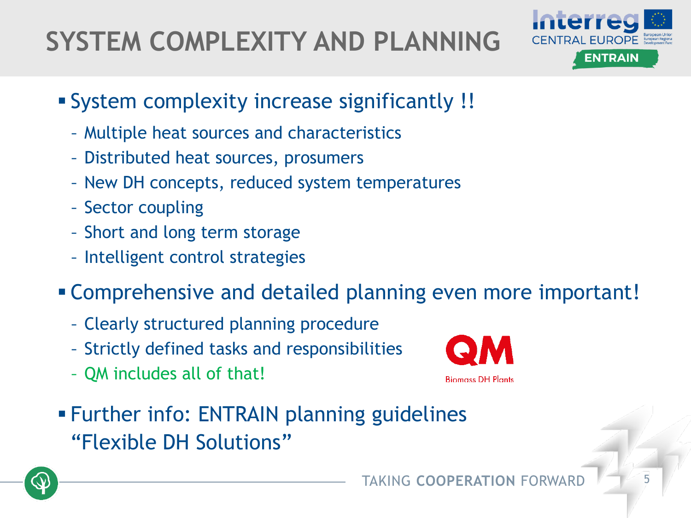## **SYSTEM COMPLEXITY AND PLANNING**



- System complexity increase significantly !!
	- Multiple heat sources and characteristics
	- Distributed heat sources, prosumers
	- New DH concepts, reduced system temperatures
	- Sector coupling
	- Short and long term storage
	- Intelligent control strategies
- Comprehensive and detailed planning even more important!
	- Clearly structured planning procedure
	- Strictly defined tasks and responsibilities
	- QM includes all of that!



**EXTER:** Further info: ENTRAIN planning guidelines "Flexible DH Solutions"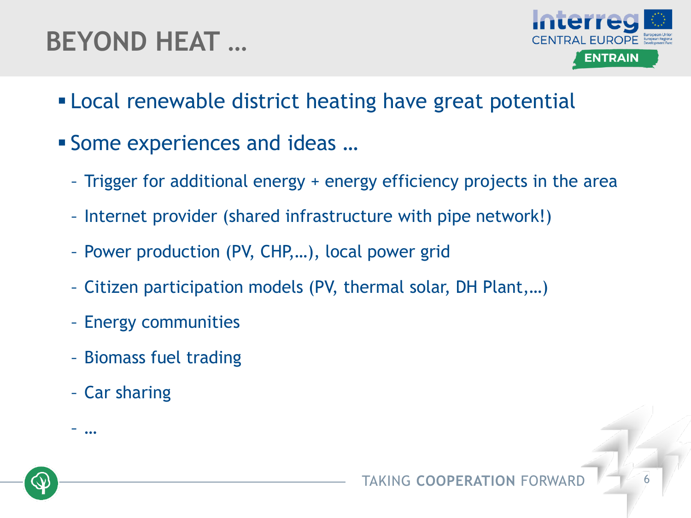### **BEYOND HEAT …**



- **Example 12** Local renewable district heating have great potential
- Some experiences and ideas ...
	- Trigger for additional energy + energy efficiency projects in the area
	- Internet provider (shared infrastructure with pipe network!)
	- Power production (PV, CHP,…), local power grid
	- Citizen participation models (PV, thermal solar, DH Plant,…)
	- Energy communities
	- Biomass fuel trading
	- Car sharing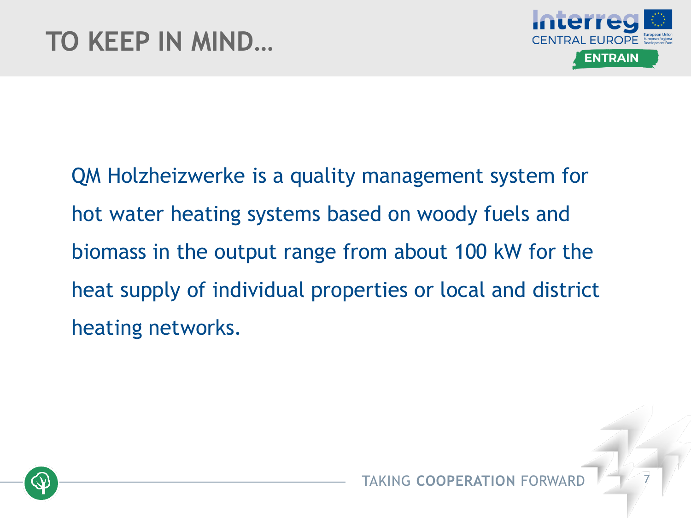

QM Holzheizwerke is a quality management system for hot water heating systems based on woody fuels and biomass in the output range from about 100 kW for the heat supply of individual properties or local and district heating networks.

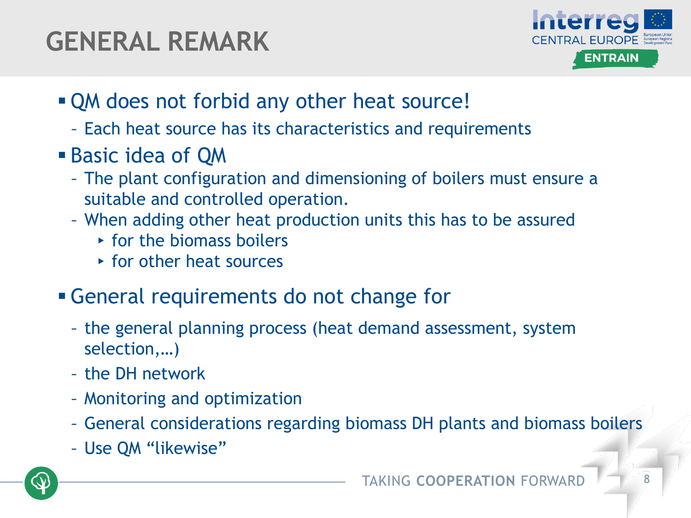### **GENERAL REMARK**



- **. QM does not forbid any other heat source!** 
	- Each heat source has its characteristics and requirements
- **Basic idea of QM** 
	- The plant configuration and dimensioning of boilers must ensure a suitable and controlled operation.
	- When adding other heat production units this has to be assured
		- $\rightarrow$  for the biomass boilers
		- ▸ for other heat sources
- General requirements do not change for
	- the general planning process (heat demand assessment, system selection,…)
	- the DH network
	- Monitoring and optimization
	- General considerations regarding biomass DH plants and biomass boilers
	- Use QM "likewise"

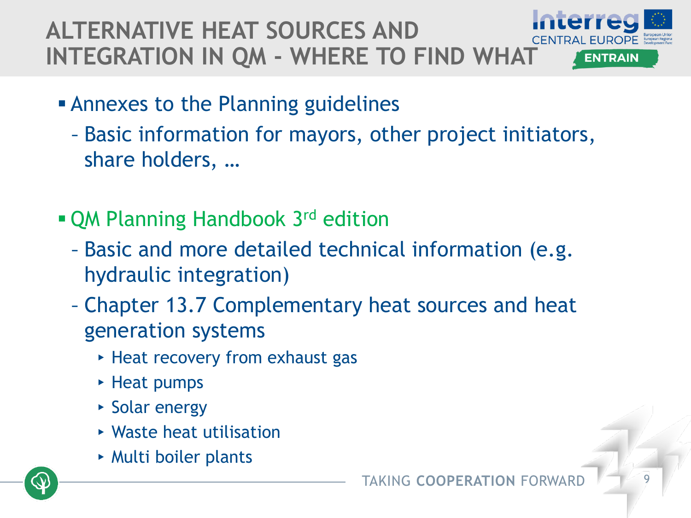#### **ALTERNATIVE HEAT SOURCES AND INTEGRATION IN QM - WHERE TO FIND WHAT ENTRAIN**

- **Example 2 Fig. 2 Fig. 2 Fig. 2 Fig. 2 Fig. 2 Fig. 2 Fig. 2 Fig. 2 Fig. 2 Fig. 2 Fig. 2 Fig. 2 Fig. 2 Fig. 2 Fig. 2 Fig. 2 Fig. 2 Fig. 2 Fig. 2 Fig. 2 Fig. 2 Fig. 2 Fig. 2 Fig. 2 Fig. 2 Fig. 2 Fig. 2 Fig. 2 Fig. 2 Fig. 2 F** 
	- Basic information for mayors, other project initiators, share holders, …
- QM Planning Handbook 3<sup>rd</sup> edition
	- Basic and more detailed technical information (e.g. hydraulic integration)
	- Chapter 13.7 Complementary heat sources and heat generation systems
		- ▸ Heat recovery from exhaust gas
		- ▸ Heat pumps
		- ▸ Solar energy
		- ▸ Waste heat utilisation
		- ▸ Multi boiler plants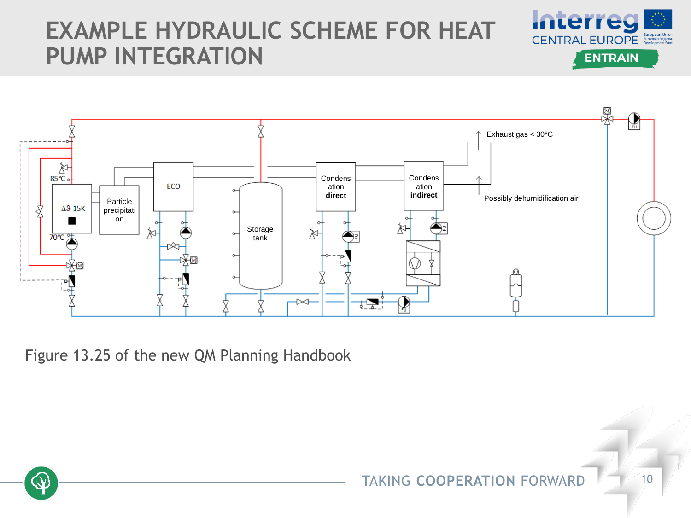### **EXAMPLE HYDRAULIC SCHEME FOR HEAT PUMP INTEGRATION**





Figure 13.25 of the new QM Planning Handbook



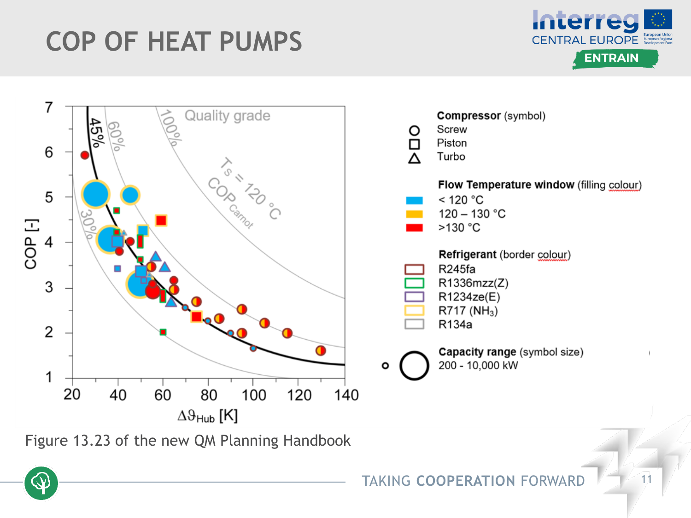### **COP OF HEAT PUMPS**



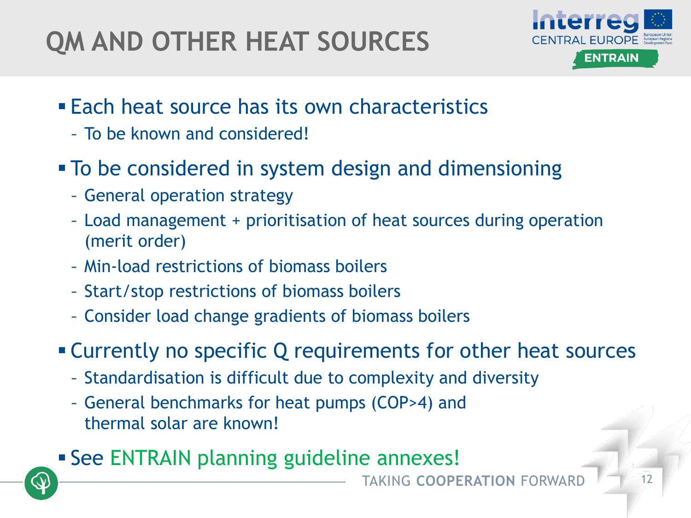### **QM AND OTHER HEAT SOURCES**



- **Each heat source has its own characteristics** 
	- To be known and considered!
- **To be considered in system design and dimensioning** 
	- General operation strategy
	- Load management + prioritisation of heat sources during operation (merit order)
	- Min-load restrictions of biomass boilers
	- Start/stop restrictions of biomass boilers
	- Consider load change gradients of biomass boilers
- **EXA)** Currently no specific Q requirements for other heat sources
	- Standardisation is difficult due to complexity and diversity
	- General benchmarks for heat pumps (COP>4) and thermal solar are known!
- **EXECTE ENTRAIN planning guideline annexes!**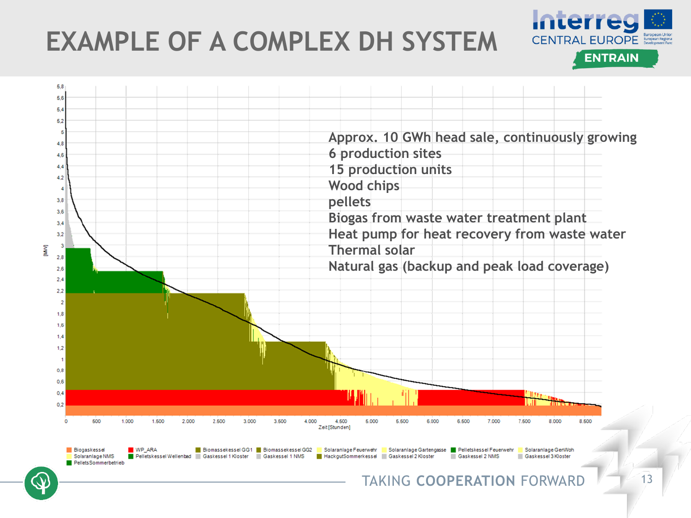### **EXAMPLE OF A COMPLEX DH SYSTEM**



**Interreg** 

**CENTRAL EUROPE** European Digital

**ENTRAIN**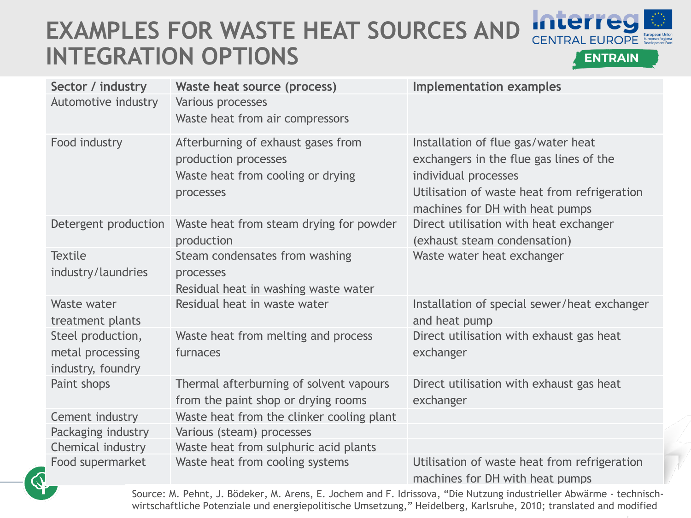### **EXAMPLES FOR WASTE HEAT SOURCES AND INTEGRATION OPTIONS**



**ENTRAIN** 

| Sector / industry                                          | Waste heat source (process)                                                                                  | <b>Implementation examples</b>                                                                                                                                                            |
|------------------------------------------------------------|--------------------------------------------------------------------------------------------------------------|-------------------------------------------------------------------------------------------------------------------------------------------------------------------------------------------|
| Automotive industry                                        | Various processes                                                                                            |                                                                                                                                                                                           |
|                                                            | Waste heat from air compressors                                                                              |                                                                                                                                                                                           |
| Food industry                                              | Afterburning of exhaust gases from<br>production processes<br>Waste heat from cooling or drying<br>processes | Installation of flue gas/water heat<br>exchangers in the flue gas lines of the<br>individual processes<br>Utilisation of waste heat from refrigeration<br>machines for DH with heat pumps |
| Detergent production                                       | Waste heat from steam drying for powder<br>production                                                        | Direct utilisation with heat exchanger<br>(exhaust steam condensation)                                                                                                                    |
| <b>Textile</b><br>industry/laundries                       | Steam condensates from washing<br>processes<br>Residual heat in washing waste water                          | Waste water heat exchanger                                                                                                                                                                |
| Waste water<br>treatment plants                            | Residual heat in waste water                                                                                 | Installation of special sewer/heat exchanger<br>and heat pump                                                                                                                             |
| Steel production,<br>metal processing<br>industry, foundry | Waste heat from melting and process<br>furnaces                                                              | Direct utilisation with exhaust gas heat<br>exchanger                                                                                                                                     |
| Paint shops                                                | Thermal afterburning of solvent vapours<br>from the paint shop or drying rooms                               | Direct utilisation with exhaust gas heat<br>exchanger                                                                                                                                     |
| Cement industry                                            | Waste heat from the clinker cooling plant                                                                    |                                                                                                                                                                                           |
| Packaging industry                                         | Various (steam) processes                                                                                    |                                                                                                                                                                                           |
| Chemical industry                                          | Waste heat from sulphuric acid plants                                                                        |                                                                                                                                                                                           |
| Food supermarket                                           | Waste heat from cooling systems                                                                              | Utilisation of waste heat from refrigeration<br>machines for DH with heat pumps                                                                                                           |

Source: M. Pehnt, J. Bödeker, M. Arens, E. Jochem and F. Idrissova, "Die Nutzung industrieller Abwärme - technischwirtschaftliche Potenziale und energiepolitische Umsetzung," Heidelberg, Karlsruhe, 2010; translated and modified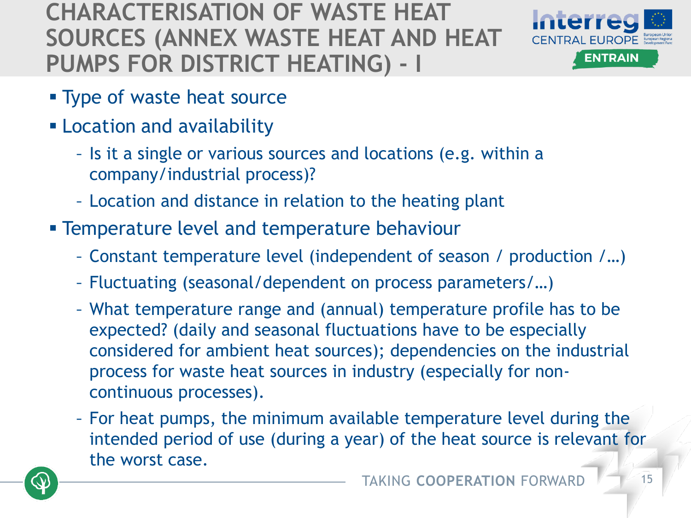#### **CHARACTERISATION OF WASTE HEAT SOURCES (ANNEX WASTE HEAT AND HEAT PUMPS FOR DISTRICT HEATING) - I**



- **Type of waste heat source**
- **ELocation and availability** 
	- Is it a single or various sources and locations (e.g. within a company/industrial process)?
	- Location and distance in relation to the heating plant
- **EXA** Temperature level and temperature behaviour
	- Constant temperature level (independent of season / production /…)
	- Fluctuating (seasonal/dependent on process parameters/…)
	- What temperature range and (annual) temperature profile has to be expected? (daily and seasonal fluctuations have to be especially considered for ambient heat sources); dependencies on the industrial process for waste heat sources in industry (especially for noncontinuous processes).
	- For heat pumps, the minimum available temperature level during the intended period of use (during a year) of the heat source is relevant for the worst case.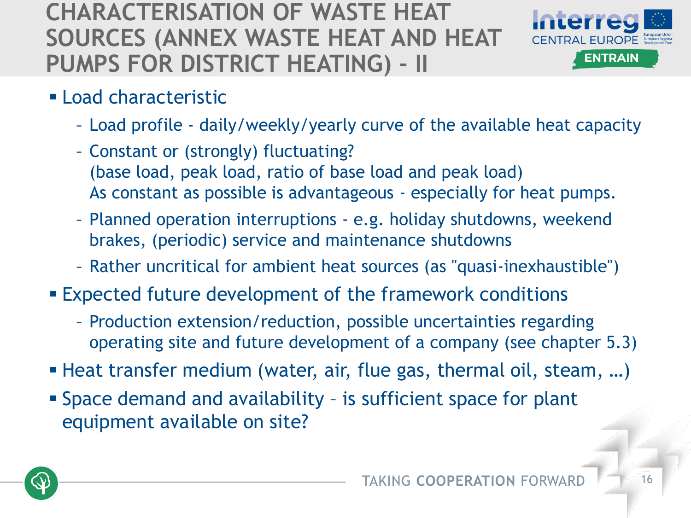#### **CHARACTERISATION OF WASTE HEAT SOURCES (ANNEX WASTE HEAT AND HEAT PUMPS FOR DISTRICT HEATING) - II**



- **ELoad characteristic** 
	- Load profile daily/weekly/yearly curve of the available heat capacity
	- Constant or (strongly) fluctuating? (base load, peak load, ratio of base load and peak load) As constant as possible is advantageous - especially for heat pumps.
	- Planned operation interruptions e.g. holiday shutdowns, weekend brakes, (periodic) service and maintenance shutdowns
	- Rather uncritical for ambient heat sources (as "quasi-inexhaustible")
- **Expected future development of the framework conditions** 
	- Production extension/reduction, possible uncertainties regarding operating site and future development of a company (see chapter 5.3)
- Heat transfer medium (water, air, flue gas, thermal oil, steam, ...)
- **Example 3 Space demand and availability is sufficient space for plant** equipment available on site?

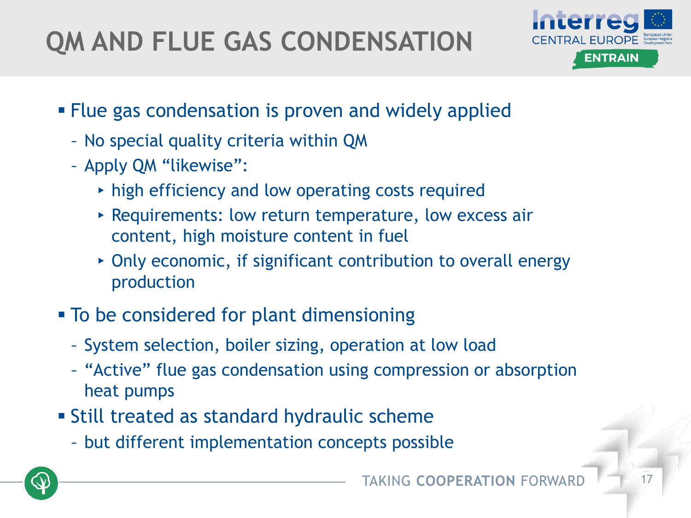## **QM AND FLUE GAS CONDENSATION**



- **EXALGE 25 Filue gas condensation is proven and widely applied** 
	- No special quality criteria within QM
	- Apply QM "likewise":
		- ▸ high efficiency and low operating costs required
		- ▸ Requirements: low return temperature, low excess air content, high moisture content in fuel
		- ▸ Only economic, if significant contribution to overall energy production
- To be considered for plant dimensioning
	- System selection, boiler sizing, operation at low load
	- "Active" flue gas condensation using compression or absorption heat pumps
- **E** Still treated as standard hydraulic scheme
	- but different implementation concepts possible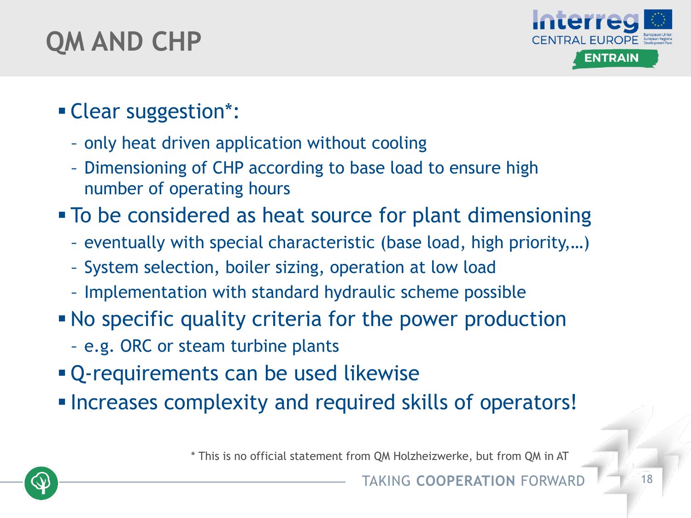### **QM AND CHP**



#### ▪ Clear suggestion\*:

- only heat driven application without cooling
- Dimensioning of CHP according to base load to ensure high number of operating hours
- **To be considered as heat source for plant dimensioning** 
	- eventually with special characteristic (base load, high priority,…)
	- System selection, boiler sizing, operation at low load
	- Implementation with standard hydraulic scheme possible
- No specific quality criteria for the power production
	- e.g. ORC or steam turbine plants
- **Q-requirements can be used likewise**
- Increases complexity and required skills of operators!

\* This is no official statement from QM Holzheizwerke, but from QM in AT

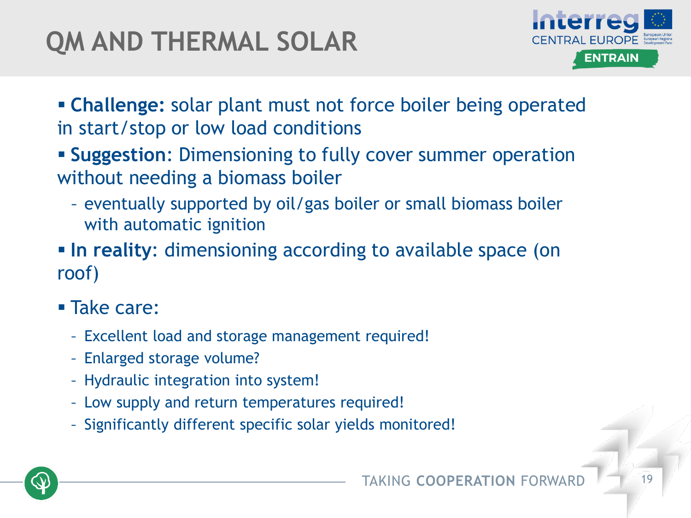### **QM AND THERMAL SOLAR**



- **Example:** solar plant must not force boiler being operated in start/stop or low load conditions
- **EXA)** Suggestion: Dimensioning to fully cover summer operation without needing a biomass boiler
	- eventually supported by oil/gas boiler or small biomass boiler with automatic ignition
- **In reality:** dimensioning according to available space (on roof)
- Take care:
	- Excellent load and storage management required!
	- Enlarged storage volume?
	- Hydraulic integration into system!
	- Low supply and return temperatures required!
	- Significantly different specific solar yields monitored!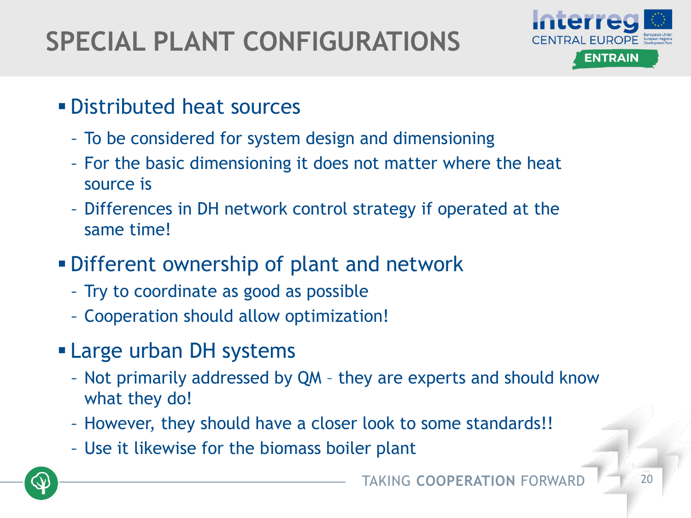## **SPECIAL PLANT CONFIGURATIONS**



- **Distributed heat sources** 
	- To be considered for system design and dimensioning
	- For the basic dimensioning it does not matter where the heat source is
	- Differences in DH network control strategy if operated at the same time!
- **.** Different ownership of plant and network
	- Try to coordinate as good as possible
	- Cooperation should allow optimization!
- **Example 1 Large urban DH systems** 
	- Not primarily addressed by QM they are experts and should know what they do!
	- However, they should have a closer look to some standards!!
	- Use it likewise for the biomass boiler plant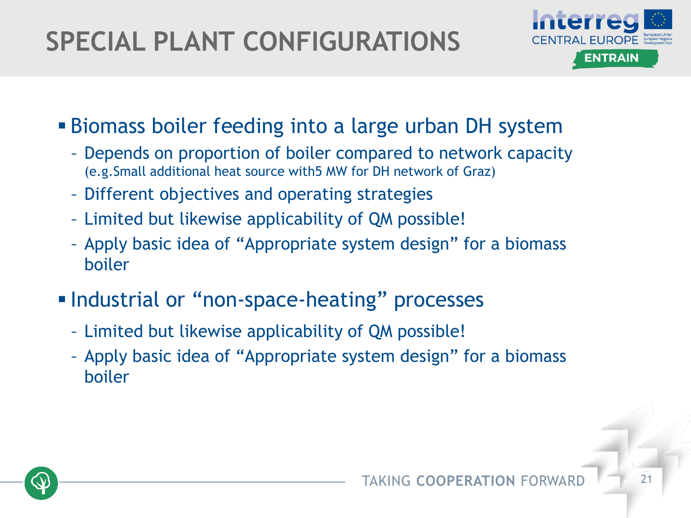## **SPECIAL PLANT CONFIGURATIONS**



- **Biomass boiler feeding into a large urban DH system** 
	- Depends on proportion of boiler compared to network capacity (e.g.Small additional heat source with5 MW for DH network of Graz)
	- Different objectives and operating strategies
	- Limited but likewise applicability of QM possible!
	- Apply basic idea of "Appropriate system design" for a biomass boiler
- **Industrial or "non-space-heating" processes** 
	- Limited but likewise applicability of QM possible!
	- Apply basic idea of "Appropriate system design" for a biomass boiler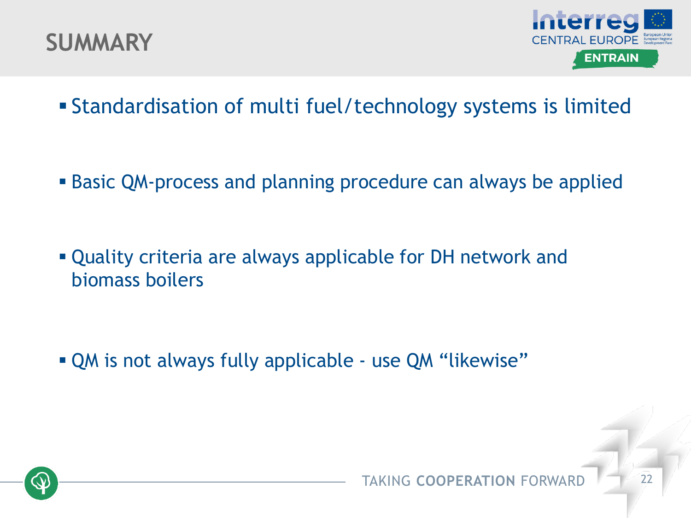



- **Example ration of multi fuel/technology systems is limited**
- **Basic QM-process and planning procedure can always be applied**
- **.** Quality criteria are always applicable for DH network and biomass boilers

▪ QM is not always fully applicable - use QM "likewise"